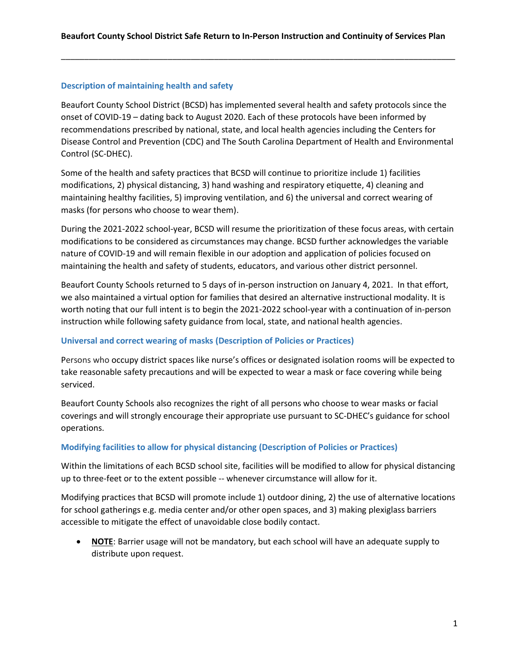### **Description of maintaining health and safety**

Beaufort County School District (BCSD) has implemented several health and safety protocols since the onset of COVID-19 – dating back to August 2020. Each of these protocols have been informed by recommendations prescribed by national, state, and local health agencies including the Centers for Disease Control and Prevention (CDC) and The South Carolina Department of Health and Environmental Control (SC-DHEC).

Some of the health and safety practices that BCSD will continue to prioritize include 1) facilities modifications, 2) physical distancing, 3) hand washing and respiratory etiquette, 4) cleaning and maintaining healthy facilities, 5) improving ventilation, and 6) the universal and correct wearing of masks (for persons who choose to wear them).

During the 2021-2022 school-year, BCSD will resume the prioritization of these focus areas, with certain modifications to be considered as circumstances may change. BCSD further acknowledges the variable nature of COVID-19 and will remain flexible in our adoption and application of policies focused on maintaining the health and safety of students, educators, and various other district personnel.

Beaufort County Schools returned to 5 days of in-person instruction on January 4, 2021. In that effort, we also maintained a virtual option for families that desired an alternative instructional modality. It is worth noting that our full intent is to begin the 2021-2022 school-year with a continuation of in-person instruction while following safety guidance from local, state, and national health agencies.

### **Universal and correct wearing of masks (Description of Policies or Practices)**

Persons who occupy district spaces like nurse's offices or designated isolation rooms will be expected to take reasonable safety precautions and will be expected to wear a mask or face covering while being serviced.

Beaufort County Schools also recognizes the right of all persons who choose to wear masks or facial coverings and will strongly encourage their appropriate use pursuant to SC-DHEC's guidance for school operations.

### **Modifying facilities to allow for physical distancing (Description of Policies or Practices)**

Within the limitations of each BCSD school site, facilities will be modified to allow for physical distancing up to three-feet or to the extent possible -- whenever circumstance will allow for it.

Modifying practices that BCSD will promote include 1) outdoor dining, 2) the use of alternative locations for school gatherings e.g. media center and/or other open spaces, and 3) making plexiglass barriers accessible to mitigate the effect of unavoidable close bodily contact.

• **NOTE**: Barrier usage will not be mandatory, but each school will have an adequate supply to distribute upon request.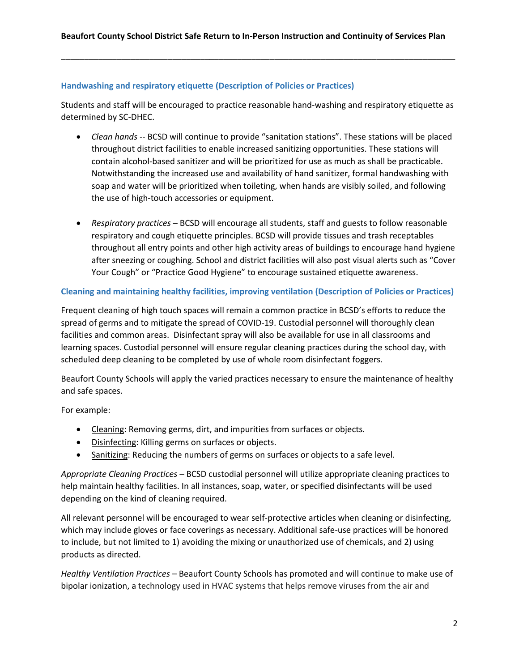### **Handwashing and respiratory etiquette (Description of Policies or Practices)**

Students and staff will be encouraged to practice reasonable hand-washing and respiratory etiquette as determined by SC-DHEC.

- *Clean hands* -- BCSD will continue to provide "sanitation stations". These stations will be placed throughout district facilities to enable increased sanitizing opportunities. These stations will contain alcohol-based sanitizer and will be prioritized for use as much as shall be practicable. Notwithstanding the increased use and availability of hand sanitizer, formal handwashing with soap and water will be prioritized when toileting, when hands are visibly soiled, and following the use of high-touch accessories or equipment.
- *Respiratory practices* BCSD will encourage all students, staff and guests to follow reasonable respiratory and cough etiquette principles. BCSD will provide tissues and trash receptables throughout all entry points and other high activity areas of buildings to encourage hand hygiene after sneezing or coughing. School and district facilities will also post visual alerts such as "Cover Your Cough" or "Practice Good Hygiene" to encourage sustained etiquette awareness.

### **Cleaning and maintaining healthy facilities, improving ventilation (Description of Policies or Practices)**

Frequent cleaning of high touch spaces will remain a common practice in BCSD's efforts to reduce the spread of germs and to mitigate the spread of COVID-19. Custodial personnel will thoroughly clean facilities and common areas. Disinfectant spray will also be available for use in all classrooms and learning spaces. Custodial personnel will ensure regular cleaning practices during the school day, with scheduled deep cleaning to be completed by use of whole room disinfectant foggers.

Beaufort County Schools will apply the varied practices necessary to ensure the maintenance of healthy and safe spaces.

For example:

- Cleaning: Removing germs, dirt, and impurities from surfaces or objects.
- Disinfecting: Killing germs on surfaces or objects.
- Sanitizing: Reducing the numbers of germs on surfaces or objects to a safe level.

*Appropriate Cleaning Practices –* BCSD custodial personnel will utilize appropriate cleaning practices to help maintain healthy facilities. In all instances, soap, water, or specified disinfectants will be used depending on the kind of cleaning required.

All relevant personnel will be encouraged to wear self-protective articles when cleaning or disinfecting, which may include gloves or face coverings as necessary. Additional safe-use practices will be honored to include, but not limited to 1) avoiding the mixing or unauthorized use of chemicals, and 2) using products as directed.

*Healthy Ventilation Practices* – Beaufort County Schools has promoted and will continue to make use of bipolar ionization, a technology used in HVAC systems that helps remove viruses from the air and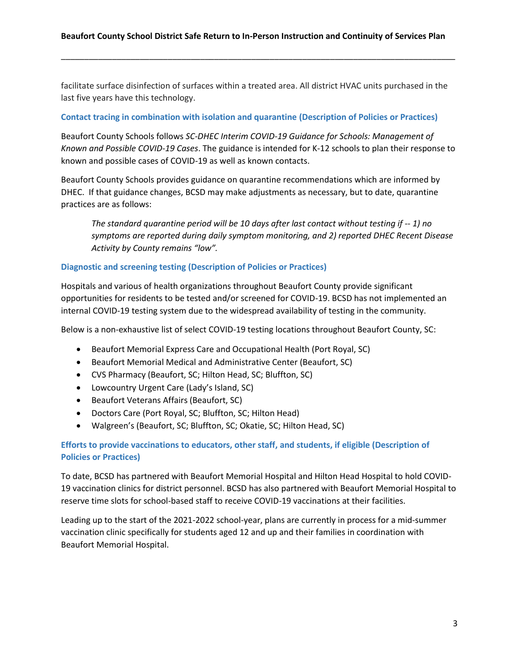facilitate surface disinfection of surfaces within a treated area. All district HVAC units purchased in the last five years have this technology.

### **Contact tracing in combination with isolation and quarantine (Description of Policies or Practices)**

Beaufort County Schools follows *SC-DHEC Interim COVID-19 Guidance for Schools: Management of Known and Possible COVID-19 Cases*. The guidance is intended for K-12 schools to plan their response to known and possible cases of COVID-19 as well as known contacts.

Beaufort County Schools provides guidance on quarantine recommendations which are informed by DHEC. If that guidance changes, BCSD may make adjustments as necessary, but to date, quarantine practices are as follows:

*The standard quarantine period will be 10 days after last contact without testing if -- 1) no symptoms are reported during daily symptom monitoring, and 2) reported DHEC Recent Disease Activity by County remains "low".*

#### **Diagnostic and screening testing (Description of Policies or Practices)**

Hospitals and various of health organizations throughout Beaufort County provide significant opportunities for residents to be tested and/or screened for COVID-19. BCSD has not implemented an internal COVID-19 testing system due to the widespread availability of testing in the community.

Below is a non-exhaustive list of select COVID-19 testing locations throughout Beaufort County, SC:

- Beaufort Memorial Express Care and Occupational Health (Port Royal, SC)
- Beaufort Memorial Medical and Administrative Center (Beaufort, SC)
- CVS Pharmacy (Beaufort, SC; Hilton Head, SC; Bluffton, SC)
- Lowcountry Urgent Care (Lady's Island, SC)
- Beaufort Veterans Affairs (Beaufort, SC)
- Doctors Care (Port Royal, SC; Bluffton, SC; Hilton Head)
- Walgreen's (Beaufort, SC; Bluffton, SC; Okatie, SC; Hilton Head, SC)

# **Efforts to provide vaccinations to educators, other staff, and students, if eligible (Description of Policies or Practices)**

To date, BCSD has partnered with Beaufort Memorial Hospital and Hilton Head Hospital to hold COVID-19 vaccination clinics for district personnel. BCSD has also partnered with Beaufort Memorial Hospital to reserve time slots for school-based staff to receive COVID-19 vaccinations at their facilities.

Leading up to the start of the 2021-2022 school-year, plans are currently in process for a mid-summer vaccination clinic specifically for students aged 12 and up and their families in coordination with Beaufort Memorial Hospital.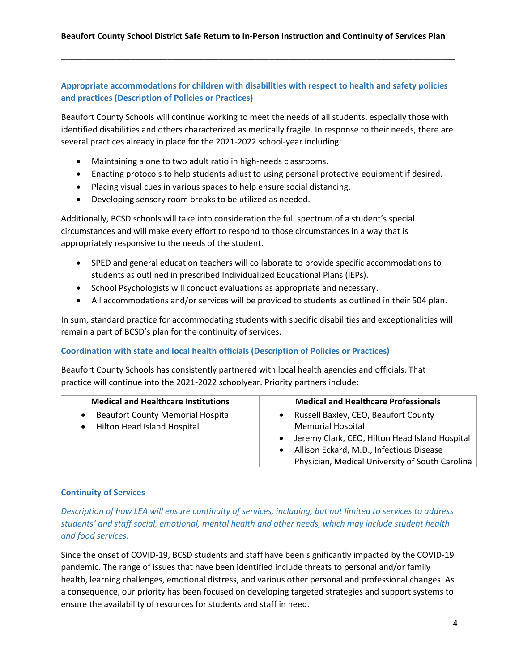## **Appropriate accommodations for children with disabilities with respect to health and safety policies and practices (Description of Policies or Practices)**

Beaufort County Schools will continue working to meet the needs of all students, especially those with identified disabilities and others characterized as medically fragile. In response to their needs, there are several practices already in place for the 2021-2022 school-year including:

- Maintaining a one to two adult ratio in high-needs classrooms.
- Enacting protocols to help students adjust to using personal protective equipment if desired.
- Placing visual cues in various spaces to help ensure social distancing.
- Developing sensory room breaks to be utilized as needed.

Additionally, BCSD schools will take into consideration the full spectrum of a student's special circumstances and will make every effort to respond to those circumstances in a way that is appropriately responsive to the needs of the student.

- SPED and general education teachers will collaborate to provide specific accommodations to students as outlined in prescribed Individualized Educational Plans (IEPs).
- School Psychologists will conduct evaluations as appropriate and necessary.
- All accommodations and/or services will be provided to students as outlined in their 504 plan.

In sum, standard practice for accommodating students with specific disabilities and exceptionalities will remain a part of BCSD's plan for the continuity of services.

### **Coordination with state and local health officials (Description of Policies or Practices)**

Beaufort County Schools has consistently partnered with local health agencies and officials. That practice will continue into the 2021-2022 schoolyear. Priority partners include:

| <b>Medical and Healthcare Institutions</b> | <b>Medical and Healthcare Professionals</b>           |
|--------------------------------------------|-------------------------------------------------------|
| <b>Beaufort County Memorial Hospital</b>   | Russell Baxley, CEO, Beaufort County                  |
| Hilton Head Island Hospital                | <b>Memorial Hospital</b>                              |
|                                            | • Jeremy Clark, CEO, Hilton Head Island Hospital      |
|                                            | Allison Eckard, M.D., Infectious Disease<br>$\bullet$ |
|                                            | Physician, Medical University of South Carolina       |

### **Continuity of Services**

*Description of how LEA will ensure continuity of services, including, but not limited to services to address students' and staff social, emotional, mental health and other needs, which may include student health and food services.*

Since the onset of COVID-19, BCSD students and staff have been significantly impacted by the COVID-19 pandemic. The range of issues that have been identified include threats to personal and/or family health, learning challenges, emotional distress, and various other personal and professional changes. As a consequence, our priority has been focused on developing targeted strategies and support systems to ensure the availability of resources for students and staff in need.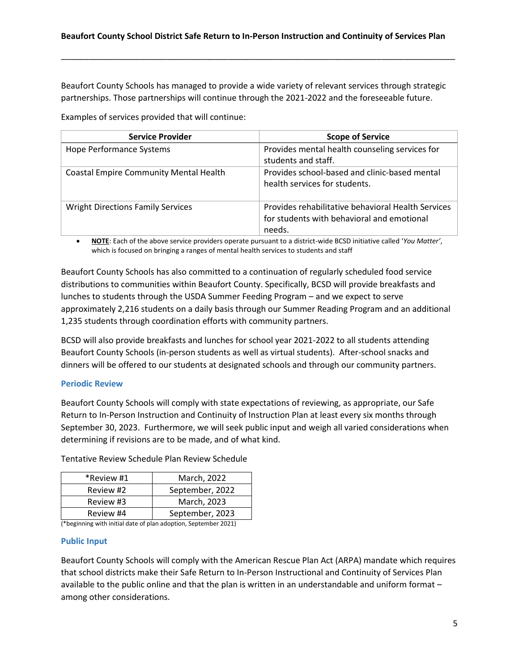Beaufort County Schools has managed to provide a wide variety of relevant services through strategic partnerships. Those partnerships will continue through the 2021-2022 and the foreseeable future.

Examples of services provided that will continue:

| <b>Service Provider</b>                       | <b>Scope of Service</b>                            |
|-----------------------------------------------|----------------------------------------------------|
| <b>Hope Performance Systems</b>               | Provides mental health counseling services for     |
|                                               | students and staff.                                |
| <b>Coastal Empire Community Mental Health</b> | Provides school-based and clinic-based mental      |
|                                               | health services for students.                      |
| <b>Wright Directions Family Services</b>      | Provides rehabilitative behavioral Health Services |
|                                               | for students with behavioral and emotional         |
|                                               | needs.                                             |

• **NOTE**: Each of the above service providers operate pursuant to a district-wide BCSD initiative called '*You Matter'*, which is focused on bringing a ranges of mental health services to students and staff

Beaufort County Schools has also committed to a continuation of regularly scheduled food service distributions to communities within Beaufort County. Specifically, BCSD will provide breakfasts and lunches to students through the USDA Summer Feeding Program – and we expect to serve approximately 2,216 students on a daily basis through our Summer Reading Program and an additional 1,235 students through coordination efforts with community partners.

BCSD will also provide breakfasts and lunches for school year 2021-2022 to all students attending Beaufort County Schools (in-person students as well as virtual students). After-school snacks and dinners will be offered to our students at designated schools and through our community partners.

### **Periodic Review**

Beaufort County Schools will comply with state expectations of reviewing, as appropriate, our Safe Return to In-Person Instruction and Continuity of Instruction Plan at least every six months through September 30, 2023. Furthermore, we will seek public input and weigh all varied considerations when determining if revisions are to be made, and of what kind.

| *Review #1 | March, 2022     |
|------------|-----------------|
| Review #2  | September, 2022 |
| Review #3  | March, 2023     |
| Review #4  | September, 2023 |

Tentative Review Schedule Plan Review Schedule

(\*beginning with initial date of plan adoption, September 2021)

### **Public Input**

Beaufort County Schools will comply with the American Rescue Plan Act (ARPA) mandate which requires that school districts make their Safe Return to In-Person Instructional and Continuity of Services Plan available to the public online and that the plan is written in an understandable and uniform format – among other considerations.